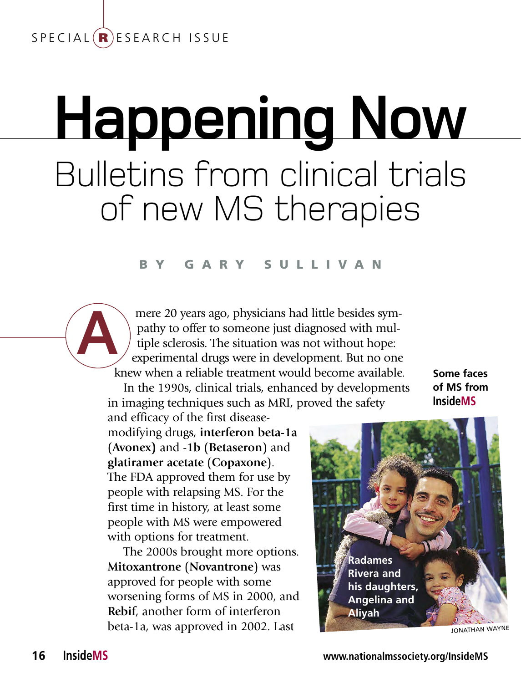## $S$  P E C I A L  $(R)$  E S E A R C H ISSUE

# **Happening Now** Bulletins from clinical trials of new MS therapies

### b y G a r y S u l l i v a n

mere 20 years ago, physicians had little besides sympathy to offer to someone just diagnosed with multiple sclerosis. The situation was not without hope: experimental drugs were in development. But no one knew when a reliable treatment would become available.

In the 1990s, clinical trials, enhanced by developments in imaging techniques such as MRI, proved the safety

**Some faces of MS from InsideMS**

and efficacy of the first diseasemodifying drugs, **interferon beta-1a**  (**Avonex)** and -**1b** (**Betaseron**) and **glatiramer acetate** (**Copaxone**). The FDA approved them for use by people with relapsing MS. For the first time in history, at least some people with MS were empowered with options for treatment.

The 2000s brought more options. **Mitoxantrone** (**Novantrone**) was approved for people with some worsening forms of MS in 2000, and **Rebif**, another form of interferon beta-1a, was approved in 2002. Last



jonathan wayne

**A**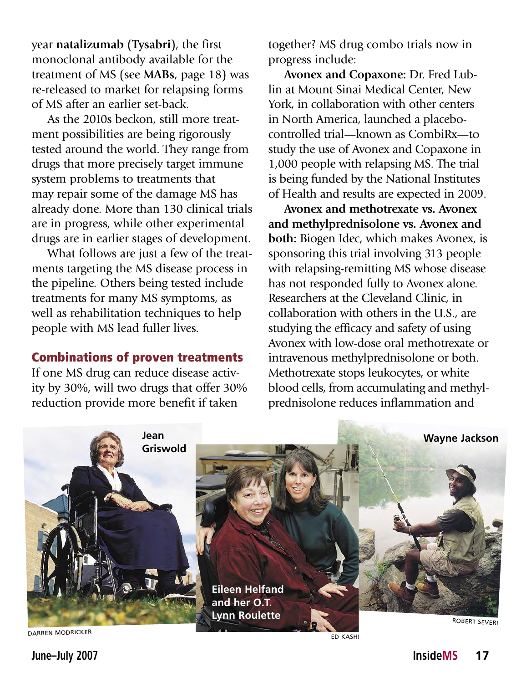year **natalizumab** (**Tysabri**), the first monoclonal antibody available for the treatment of MS (see **MABs**, page 18) was re-released to market for relapsing forms of MS after an earlier set-back.

As the 2010s beckon, still more treatment possibilities are being rigorously tested around the world. They range from drugs that more precisely target immune system problems to treatments that may repair some of the damage MS has already done. More than 130 clinical trials are in progress, while other experimental drugs are in earlier stages of development.

What follows are just a few of the treatments targeting the MS disease process in the pipeline. Others being tested include treatments for many MS symptoms, as well as rehabilitation techniques to help people with MS lead fuller lives.

## Combinations of proven treatments

If one MS drug can reduce disease activity by 30%, will two drugs that offer 30% reduction provide more benefit if taken

together? MS drug combo trials now in progress include:

**Avonex and Copaxone:** Dr. Fred Lublin at Mount Sinai Medical Center, New York, in collaboration with other centers in North America, launched a placebocontrolled trial—known as CombiRx—to study the use of Avonex and Copaxone in 1,000 people with relapsing MS. The trial is being funded by the National Institutes of Health and results are expected in 2009.

**Avonex and methotrexate vs. Avonex and methylprednisolone vs. Avonex and both:** Biogen Idec, which makes Avonex, is sponsoring this trial involving 313 people with relapsing-remitting MS whose disease has not responded fully to Avonex alone. Researchers at the Cleveland Clinic, in collaboration with others in the U.S., are studying the efficacy and safety of using Avonex with low-dose oral methotrexate or intravenous methylprednisolone or both. Methotrexate stops leukocytes, or white blood cells, from accumulating and methylprednisolone reduces inflammation and



Ed kashi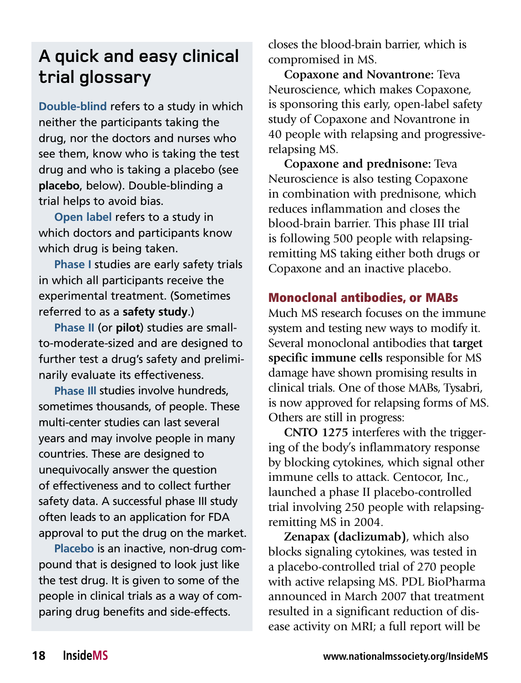# **A quick and easy clinical trial glossary**

**Double-blind** refers to a study in which neither the participants taking the drug, nor the doctors and nurses who see them, know who is taking the test drug and who is taking a placebo (see **placebo**, below). Double-blinding a trial helps to avoid bias.

**Open label** refers to a study in which doctors and participants know which drug is being taken.

**Phase I** studies are early safety trials in which all participants receive the experimental treatment. (Sometimes referred to as a **safety study**.)

**Phase II** (or **pilot**) studies are smallto-moderate-sized and are designed to further test a drug's safety and preliminarily evaluate its effectiveness.

**Phase III** studies involve hundreds, sometimes thousands, of people. These multi-center studies can last several years and may involve people in many countries. These are designed to unequivocally answer the question of effectiveness and to collect further safety data. A successful phase III study often leads to an application for FDA approval to put the drug on the market.

**Placebo** is an inactive, non-drug compound that is designed to look just like the test drug. It is given to some of the people in clinical trials as a way of comparing drug benefits and side-effects.

closes the blood-brain barrier, which is compromised in MS.

**Copaxone and Novantrone:** Teva Neuroscience, which makes Copaxone, is sponsoring this early, open-label safety study of Copaxone and Novantrone in 40 people with relapsing and progressiverelapsing MS.

**Copaxone and prednisone:** Teva Neuroscience is also testing Copaxone in combination with prednisone, which reduces inflammation and closes the blood-brain barrier. This phase III trial is following 500 people with relapsingremitting MS taking either both drugs or Copaxone and an inactive placebo.

## Monoclonal antibodies, or MABs

Much MS research focuses on the immune system and testing new ways to modify it. Several monoclonal antibodies that **target specific immune cells** responsible for MS damage have shown promising results in clinical trials. One of those MABs, Tysabri, is now approved for relapsing forms of MS. Others are still in progress:

**CNTO 1275** interferes with the triggering of the body's inflammatory response by blocking cytokines, which signal other immune cells to attack. Centocor, Inc., launched a phase II placebo-controlled trial involving 250 people with relapsingremitting MS in 2004.

**Zenapax (daclizumab)**, which also blocks signaling cytokines, was tested in a placebo-controlled trial of 270 people with active relapsing MS. PDL BioPharma announced in March 2007 that treatment resulted in a significant reduction of disease activity on MRI; a full report will be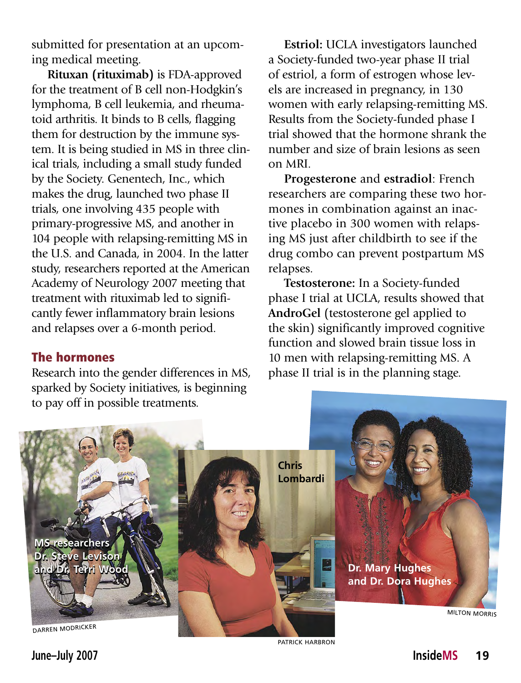submitted for presentation at an upcoming medical meeting.

**Rituxan (rituximab)** is FDA-approved for the treatment of B cell non-Hodgkin's lymphoma, B cell leukemia, and rheumatoid arthritis. It binds to B cells, flagging them for destruction by the immune system. It is being studied in MS in three clinical trials, including a small study funded by the Society. Genentech, Inc., which makes the drug, launched two phase II trials, one involving 435 people with primary-progressive MS, and another in 104 people with relapsing-remitting MS in the U.S. and Canada, in 2004. In the latter study, researchers reported at the American Academy of Neurology 2007 meeting that treatment with rituximab led to significantly fewer inflammatory brain lesions and relapses over a 6-month period.

#### The hormones

Research into the gender differences in MS, sparked by Society initiatives, is beginning to pay off in possible treatments.

**Estriol:** UCLA investigators launched a Society-funded two-year phase II trial of estriol, a form of estrogen whose levels are increased in pregnancy, in 130 women with early relapsing-remitting MS. Results from the Society-funded phase I trial showed that the hormone shrank the number and size of brain lesions as seen on MRI.

**Progesterone** and **estradiol**: French researchers are comparing these two hormones in combination against an inactive placebo in 300 women with relapsing MS just after childbirth to see if the drug combo can prevent postpartum MS relapses.

**Testosterone:** In a Society-funded phase I trial at UCLA, results showed that **Androgel** (testosterone gel applied to the skin) significantly improved cognitive function and slowed brain tissue loss in 10 men with relapsing-remitting MS. A phase II trial is in the planning stage.



PATRICK HARBRON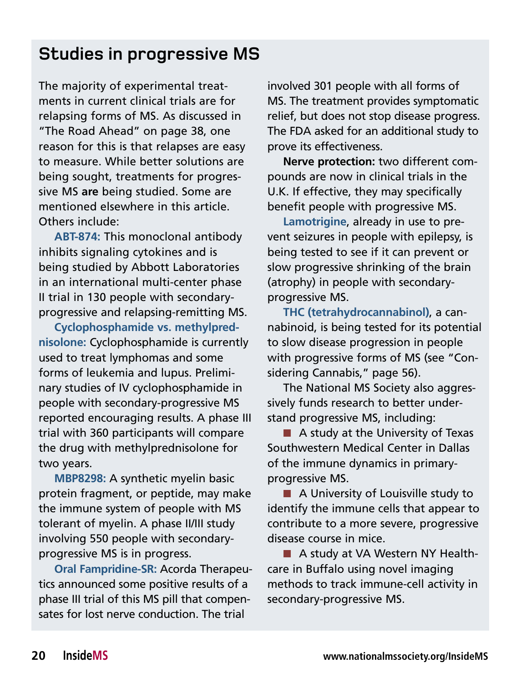## **Studies in progressive MS**

The majority of experimental treatments in current clinical trials are for relapsing forms of MS. As discussed in "The Road Ahead" on page 38, one reason for this is that relapses are easy to measure. While better solutions are being sought, treatments for progressive MS **are** being studied. Some are mentioned elsewhere in this article. Others include:

**ABT-874:** This monoclonal antibody inhibits signaling cytokines and is being studied by Abbott Laboratories in an international multi-center phase II trial in 130 people with secondaryprogressive and relapsing-remitting MS.

**Cyclophosphamide vs. methylprednisolone:** Cyclophosphamide is currently used to treat lymphomas and some forms of leukemia and lupus. Preliminary studies of IV cyclophosphamide in people with secondary-progressive MS reported encouraging results. A phase III trial with 360 participants will compare the drug with methylprednisolone for two years.

**MBP8298:** A synthetic myelin basic protein fragment, or peptide, may make the immune system of people with MS tolerant of myelin. A phase II/III study involving 550 people with secondaryprogressive MS is in progress.

**Oral Fampridine-SR:** Acorda Therapeutics announced some positive results of a phase III trial of this MS pill that compensates for lost nerve conduction. The trial

involved 301 people with all forms of MS. The treatment provides symptomatic relief, but does not stop disease progress. The FDA asked for an additional study to prove its effectiveness.

**Nerve protection:** two different compounds are now in clinical trials in the U.K. If effective, they may specifically benefit people with progressive MS.

**Lamotrigine**, already in use to prevent seizures in people with epilepsy, is being tested to see if it can prevent or slow progressive shrinking of the brain (atrophy) in people with secondaryprogressive MS.

**THC (tetrahydrocannabinol)**, a cannabinoid, is being tested for its potential to slow disease progression in people with progressive forms of MS (see "Considering Cannabis," page 56).

The National MS Society also aggressively funds research to better understand progressive MS, including:

 $\blacksquare$  A study at the University of Texas Southwestern Medical Center in Dallas of the immune dynamics in primaryprogressive MS.

■ A University of Louisville study to identify the immune cells that appear to contribute to a more severe, progressive disease course in mice.

■ A study at VA Western NY Healthcare in Buffalo using novel imaging methods to track immune-cell activity in secondary-progressive MS.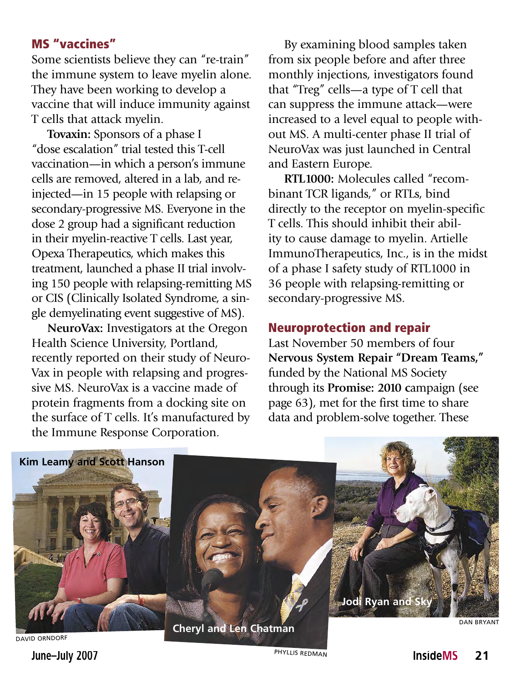## MS "vaccines"

Some scientists believe they can "re-train" the immune system to leave myelin alone. They have been working to develop a vaccine that will induce immunity against T cells that attack myelin.

**Tovaxin:** Sponsors of a phase I "dose escalation" trial tested this T-cell vaccination—in which a person's immune cells are removed, altered in a lab, and reinjected—in 15 people with relapsing or secondary-progressive MS. Everyone in the dose 2 group had a significant reduction in their myelin-reactive T cells. Last year, Opexa Therapeutics, which makes this treatment, launched a phase II trial involving 150 people with relapsing-remitting MS or CIS (Clinically Isolated Syndrome, a single demyelinating event suggestive of MS).

**NeuroVax:** Investigators at the Oregon Health Science University, Portland, recently reported on their study of Neuro-Vax in people with relapsing and progressive MS. NeuroVax is a vaccine made of protein fragments from a docking site on the surface of T cells. It's manufactured by the Immune Response Corporation.

By examining blood samples taken from six people before and after three monthly injections, investigators found that "Treg" cells—a type of T cell that can suppress the immune attack—were increased to a level equal to people without MS. A multi-center phase II trial of NeuroVax was just launched in Central and Eastern Europe.

**RTL1000:** Molecules called "recombinant TCR ligands," or RTLs, bind directly to the receptor on myelin-specific T cells. This should inhibit their ability to cause damage to myelin. Artielle ImmunoTherapeutics, Inc., is in the midst of a phase I safety study of RTL1000 in 36 people with relapsing-remitting or secondary-progressive MS.

## Neuroprotection and repair

Last November 50 members of four **Nervous System Repair "Dream Teams,"**  funded by the National MS Society through its **Promise: 2010 c**ampaign (see page 63), met for the first time to share data and problem-solve together. These



david Orndorf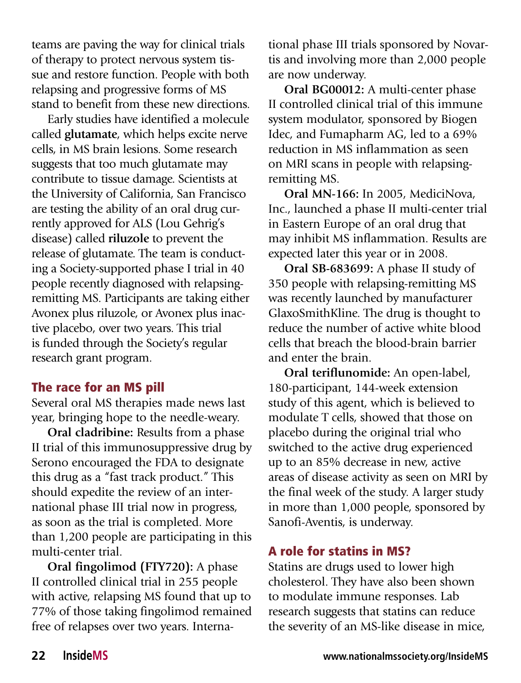teams are paving the way for clinical trials of therapy to protect nervous system tissue and restore function. People with both relapsing and progressive forms of MS stand to benefit from these new directions.

Early studies have identified a molecule called **glutamate**, which helps excite nerve cells, in MS brain lesions. Some research suggests that too much glutamate may contribute to tissue damage. Scientists at the University of California, San Francisco are testing the ability of an oral drug currently approved for ALS (Lou Gehrig's disease) called **riluzole** to prevent the release of glutamate. The team is conducting a Society-supported phase I trial in 40 people recently diagnosed with relapsingremitting MS. Participants are taking either Avonex plus riluzole, or Avonex plus inactive placebo, over two years. This trial is funded through the Society's regular research grant program.

## The race for an MS pill

Several oral MS therapies made news last year, bringing hope to the needle-weary.

**Oral cladribine:** Results from a phase II trial of this immunosuppressive drug by Serono encouraged the FDA to designate this drug as a "fast track product." This should expedite the review of an international phase III trial now in progress, as soon as the trial is completed. More than 1,200 people are participating in this multi-center trial.

**Oral fingolimod (FTY720):** A phase II controlled clinical trial in 255 people with active, relapsing MS found that up to 77% of those taking fingolimod remained free of relapses over two years. International phase III trials sponsored by Novartis and involving more than 2,000 people are now underway.

**Oral BG00012:** A multi-center phase II controlled clinical trial of this immune system modulator, sponsored by Biogen Idec, and Fumapharm AG, led to a 69% reduction in MS inflammation as seen on MRI scans in people with relapsingremitting MS.

**Oral MN-166:** In 2005, MediciNova, Inc., launched a phase II multi-center trial in Eastern Europe of an oral drug that may inhibit MS inflammation. Results are expected later this year or in 2008.

**Oral SB-683699:** A phase II study of 350 people with relapsing-remitting MS was recently launched by manufacturer GlaxoSmithKline. The drug is thought to reduce the number of active white blood cells that breach the blood-brain barrier and enter the brain.

**Oral teriflunomide:** An open-label, 180-participant, 144-week extension study of this agent, which is believed to modulate T cells, showed that those on placebo during the original trial who switched to the active drug experienced up to an 85% decrease in new, active areas of disease activity as seen on MRI by the final week of the study. A larger study in more than 1,000 people, sponsored by Sanofi-Aventis, is underway.

## A role for statins in MS?

Statins are drugs used to lower high cholesterol. They have also been shown to modulate immune responses. Lab research suggests that statins can reduce the severity of an MS-like disease in mice,